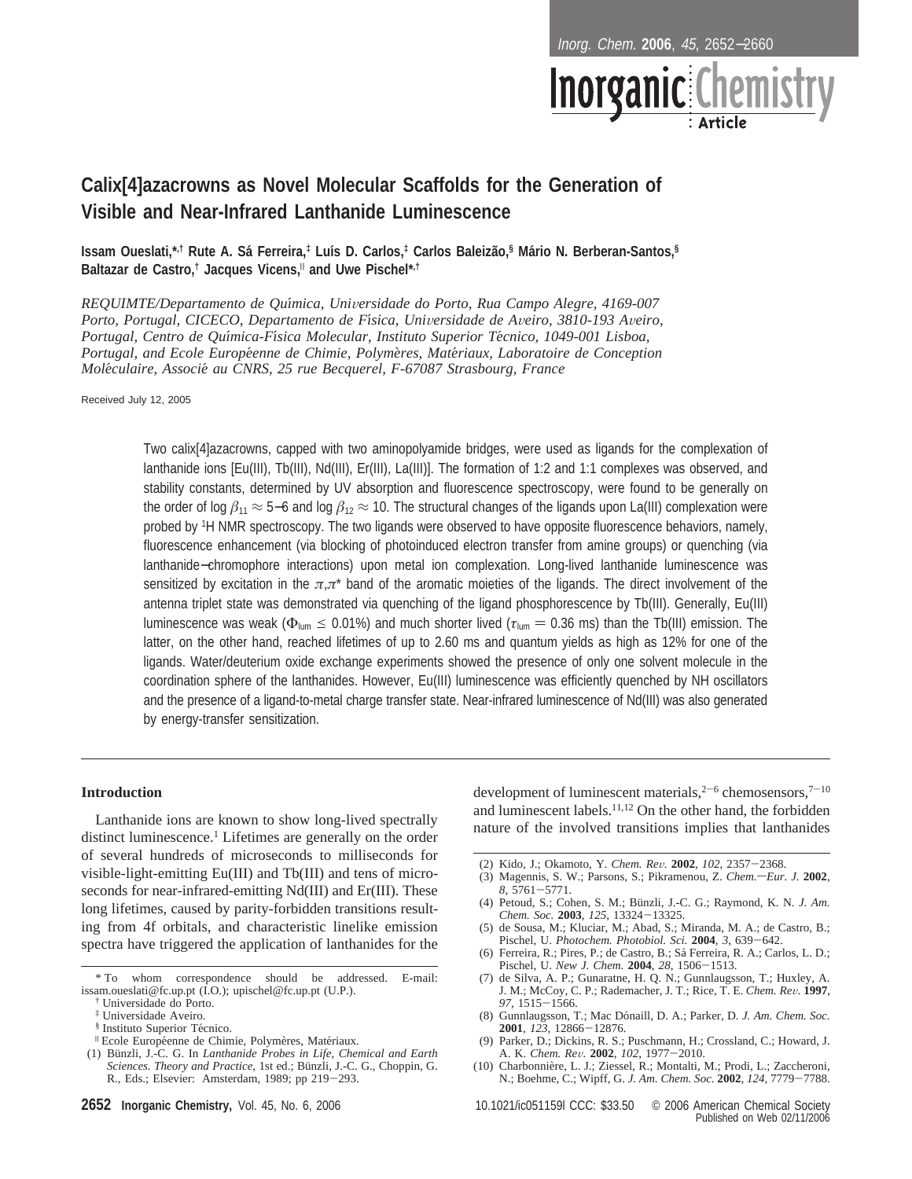Inorg. Chem. **2006**, 45, 2652−2660



# **Calix[4]azacrowns as Novel Molecular Scaffolds for the Generation of Visible and Near-Infrared Lanthanide Luminescence**

**Issam Oueslati,\*,† Rute A. Sa´ Ferreira,‡ Luı´s D. Carlos,‡ Carlos Baleiza˜o,§ Ma´rio N. Berberan-Santos,§ Baltazar de Castro,† Jacques Vicens,**<sup>|</sup> **and Uwe Pischel\*,†**

*REQUIMTE/Departamento de Quı*´*mica, Uni*V*ersidade do Porto, Rua Campo Alegre, 4169-007 Porto, Portugal, CICECO, Departamento de Fı*´*sica, Uni*V*ersidade de A*V*eiro, 3810-193 A*V*eiro, Portugal, Centro de Quı*´*mica-Fı*´*sica Molecular, Instituto Superior Te*´*cnico, 1049-001 Lisboa, Portugal, and Ecole Europe*´*enne de Chimie, Polyme*`*res, Mate*´*riaux, Laboratoire de Conception Mole*´*culaire, Associe*´ *au CNRS, 25 rue Becquerel, F-67087 Strasbourg, France*

Received July 12, 2005

Two calix[4]azacrowns, capped with two aminopolyamide bridges, were used as ligands for the complexation of lanthanide ions [Eu(III), Tb(III), Nd(III), Er(III), La(III)]. The formation of 1:2 and 1:1 complexes was observed, and stability constants, determined by UV absorption and fluorescence spectroscopy, were found to be generally on the order of log *â*<sup>11</sup> ≈ <sup>5</sup>−6 and log *â*<sup>12</sup> ≈ 10. The structural changes of the ligands upon La(III) complexation were probed by 1H NMR spectroscopy. The two ligands were observed to have opposite fluorescence behaviors, namely, fluorescence enhancement (via blocking of photoinduced electron transfer from amine groups) or quenching (via lanthanide−chromophore interactions) upon metal ion complexation. Long-lived lanthanide luminescence was sensitized by excitation in the *π*,*π*\* band of the aromatic moieties of the ligands. The direct involvement of the antenna triplet state was demonstrated via quenching of the ligand phosphorescence by Tb(III). Generally, Eu(III) luminescence was weak ( $\Phi_{\text{lum}} \le 0.01\%$ ) and much shorter lived ( $\tau_{\text{lum}} = 0.36$  ms) than the Tb(III) emission. The latter, on the other hand, reached lifetimes of up to 2.60 ms and quantum yields as high as 12% for one of the ligands. Water/deuterium oxide exchange experiments showed the presence of only one solvent molecule in the coordination sphere of the lanthanides. However, Eu(III) luminescence was efficiently quenched by NH oscillators and the presence of a ligand-to-metal charge transfer state. Near-infrared luminescence of Nd(III) was also generated by energy-transfer sensitization.

### **Introduction**

Lanthanide ions are known to show long-lived spectrally distinct luminescence.<sup>1</sup> Lifetimes are generally on the order of several hundreds of microseconds to milliseconds for visible-light-emitting Eu(III) and Tb(III) and tens of microseconds for near-infrared-emitting Nd(III) and Er(III). These long lifetimes, caused by parity-forbidden transitions resulting from 4f orbitals, and characteristic linelike emission spectra have triggered the application of lanthanides for the

- <sup>II</sup> Ecole Européenne de Chimie, Polymères, Matériaux.
- (1) Bu¨nzli, J.-C. G. In *Lanthanide Probes in Life, Chemical and Earth Sciences. Theory and Practice*, 1st ed.; Bünzli, J.-C. G., Choppin, G. R., Eds.; Elsevier: Amsterdam, 1989; pp 219-293.

development of luminescent materials,  $2^{-6}$  chemosensors,  $7^{-10}$ and luminescent labels.11,12 On the other hand, the forbidden nature of the involved transitions implies that lanthanides

- 
- (2) Kido, J.; Okamoto, Y. *Chem. Rev.* **2002**, *102*, 2357-2368.<br>(3) Magennis, S. W.; Parsons, S.; Pikramenou, Z. *Chem.-Eur. J.* **2002**, 8, 5761–5771.<br>(4) Petoud, S.; Cohen, S. M.; Bünzli, J.-C. G.; Raymond, K. N. *J. Am.*
- *Chem. Soc.* **<sup>2003</sup>**, *<sup>125</sup>*, 13324-13325.
- (5) de Sousa, M.; Kluciar, M.; Abad, S.; Miranda, M. A.; de Castro, B.; Pischel, U. *Photochem. Photobiol. Sci.* **<sup>2004</sup>**, *<sup>3</sup>*, 639-642.
- (6) Ferreira, R.; Pires, P.; de Castro, B.; Sa´ Ferreira, R. A.; Carlos, L. D.; Pischel, U. *New J. Chem.* **<sup>2004</sup>**, *<sup>28</sup>*, 1506-1513.
- (7) de Silva, A. P.; Gunaratne, H. Q. N.; Gunnlaugsson, T.; Huxley, A. J. M.; McCoy, C. P.; Rademacher, J. T.; Rice, T. E. *Chem. Re*V*.* **<sup>1997</sup>**, *<sup>97</sup>*, 1515-1566.
- (8) Gunnlaugsson, T.; Mac Dónaill, D. A.; Parker, D. *J. Am. Chem. Soc.* **2001**, *123*, 12866–12876. **<sup>2001</sup>**, *<sup>123</sup>*, 12866-12876. (9) Parker, D.; Dickins, R. S.; Puschmann, H.; Crossland, C.; Howard, J.
- A. K. *Chem. Re*V*.* **<sup>2002</sup>**, *<sup>102</sup>*, 1977-2010.
- (10) Charbonnière, L. J.; Ziessel, R.; Montalti, M.; Prodi, L.; Zaccheroni, N.; Boehme, C.; Wipff, G. *J. Am. Chem. Soc*. **<sup>2002</sup>**, *<sup>124</sup>*, 7779-7788.

**2652 Inorganic Chemistry,** Vol. 45, No. 6, 2006 10.1021/ic051159l CCC: \$33.50 © 2006 American Chemical Society Published on Web 02/11/2006

<sup>\*</sup> To whom correspondence should be addressed. E-mail: issam.oueslati@fc.up.pt (I.O.); upischel@fc.up.pt (U.P.).

<sup>†</sup> Universidade do Porto.

<sup>&</sup>lt;sup>‡</sup> Universidade Aveiro.<br>§ Instituto Superior Técnico.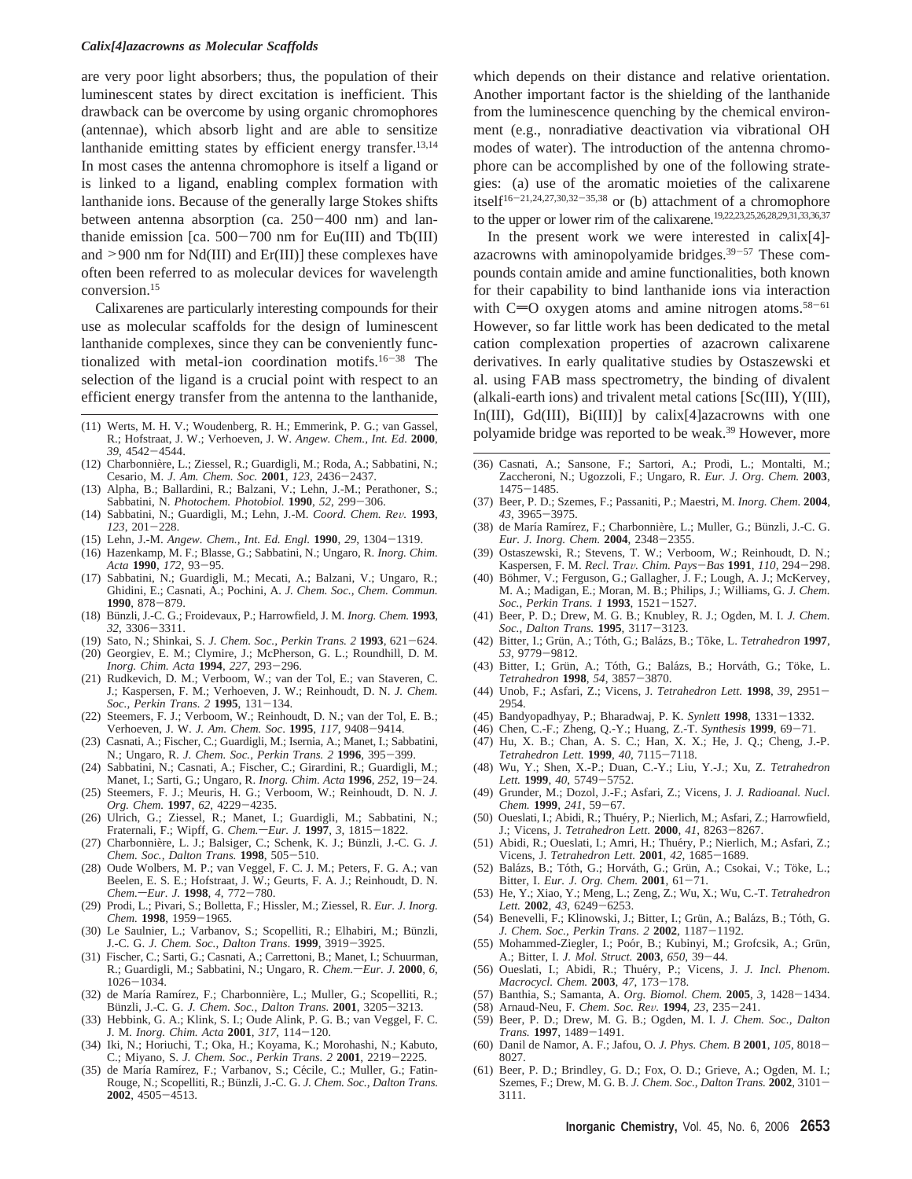#### *Calix[4]azacrowns as Molecular Scaffolds*

are very poor light absorbers; thus, the population of their luminescent states by direct excitation is inefficient. This drawback can be overcome by using organic chromophores (antennae), which absorb light and are able to sensitize lanthanide emitting states by efficient energy transfer.<sup>13,14</sup> In most cases the antenna chromophore is itself a ligand or is linked to a ligand, enabling complex formation with lanthanide ions. Because of the generally large Stokes shifts between antenna absorption (ca. 250-400 nm) and lanthanide emission [ca.  $500-700$  nm for Eu(III) and Tb(III) and  $>900$  nm for Nd(III) and Er(III)] these complexes have often been referred to as molecular devices for wavelength conversion.15

Calixarenes are particularly interesting compounds for their use as molecular scaffolds for the design of luminescent lanthanide complexes, since they can be conveniently functionalized with metal-ion coordination motifs.<sup>16-38</sup> The selection of the ligand is a crucial point with respect to an efficient energy transfer from the antenna to the lanthanide,

- (11) Werts, M. H. V.; Woudenberg, R. H.; Emmerink, P. G.; van Gassel,<br> $R \cdot Hofstrast I W \cdot Verhevven I W \text{ Anagw. Chem. Int. Ed 2000}$  polyamide bridge was reported to be weak.<sup>39</sup> However, more R.; Hofstraat, J. W.; Verhoeven, J. W. *Angew. Chem., Int. Ed.* **2000**,
- 39, 4542–4544.<br>(12) Charbonnière, L.; Ziessel, R.; Guardigli, M.; Roda, A.; Sabbatini, N.; Cesario, M. *J. Am. Chem. Soc.* **<sup>2001</sup>**, *<sup>123</sup>*, 2436-2437.
- (13) Alpha, B.; Ballardini, R.; Balzani, V.; Lehn, J.-M.; Perathoner, S.; Sabbatini, N. *Photochem. Photobiol.* **<sup>1990</sup>**, *<sup>52</sup>*, 299-306.
- (14) Sabbatini, N.; Guardigli, M.; Lehn, J.-M. *Coord. Chem. Re*V*.* **<sup>1993</sup>**, *<sup>123</sup>*, 201-228.
- 
- (15) Lehn, J.-M. *Angew. Chem., Int. Ed. Engl.* **<sup>1990</sup>**, *<sup>29</sup>*, 1304-1319. (16) Hazenkamp, M. F.; Blasse, G.; Sabbatini, N.; Ungaro, R. *Inorg. Chim.*
- *Acta* **<sup>1990</sup>**, *<sup>172</sup>*, 93-95. (17) Sabbatini, N.; Guardigli, M.; Mecati, A.; Balzani, V.; Ungaro, R.; Ghidini, E.; Casnati, A.; Pochini, A. *J. Chem. Soc., Chem. Commun.* **<sup>1990</sup>**, 878-879.
- (18) Bu¨nzli, J.-C. G.; Froidevaux, P.; Harrowfield, J. M. *Inorg. Chem.* **1993**, *<sup>32</sup>*, 3306-3311.
- (19) Sato, N.; Shinkai, S. *J. Chem. Soc., Perkin Trans. 2* **<sup>1993</sup>**, 621-624. (20) Georgiev, E. M.; Clymire, J.; McPherson, G. L.; Roundhill, D. M.
- *Inorg. Chim. Acta* **<sup>1994</sup>**, *<sup>227</sup>*, 293-296. (21) Rudkevich, D. M.; Verboom, W.; van der Tol, E.; van Staveren, C.
- J.; Kaspersen, F. M.; Verhoeven, J. W.; Reinhoudt, D. N. *J. Chem. Soc., Perkin Trans. 2* **<sup>1995</sup>**, 131-134. (22) Steemers, F. J.; Verboom, W.; Reinhoudt, D. N.; van der Tol, E. B.;
- Verhoeven, J. W. *J. Am. Chem. Soc*. **<sup>1995</sup>**, *<sup>117</sup>*, 9408-9414.
- (23) Casnati, A.; Fischer, C.; Guardigli, M.; Isernia, A.; Manet, I.; Sabbatini, N.; Ungaro, R. *J. Chem. Soc., Perkin Trans. 2* **<sup>1996</sup>**, 395-399.
- (24) Sabbatini, N.; Casnati, A.; Fischer, C.; Girardini, R.; Guardigli, M.; Manet, I.; Sarti, G.; Ungaro, R. *Inorg. Chim. Acta* **<sup>1996</sup>**, *<sup>252</sup>*, 19-24.
- (25) Steemers, F. J.; Meuris, H. G.; Verboom, W.; Reinhoudt, D. N. *J. Org. Chem.* **<sup>1997</sup>**, *<sup>62</sup>*, 4229-4235.
- (26) Ulrich, G.; Ziessel, R.; Manet, I.; Guardigli, M.; Sabbatini, N.; Fraternali, F.; Wipff, G. *Chem.*-Eur. J. **1997**, 3, 1815-1822.
- (27) Charbonnière, L. J.; Balsiger, C.; Schenk, K. J.; Bünzli, J.-C. G. J. *Chem. Soc., Dalton Trans.* **<sup>1998</sup>**, 505-510. (28) Oude Wolbers, M. P.; van Veggel, F. C. J. M.; Peters, F. G. A.; van
- Beelen, E. S. E.; Hofstraat, J. W.; Geurts, F. A. J.; Reinhoudt, D. N. *Chem.* $-Eur.$  *J.* **1998**, *4*, 772-780.
- (29) Prodi, L.; Pivari, S.; Bolletta, F.; Hissler, M.; Ziessel, R. *Eur. J. Inorg. Chem.* **<sup>1998</sup>**, 1959-1965.
- (30) Le Saulnier, L.; Varbanov, S.; Scopelliti, R.; Elhabiri, M.; Bünzli, J.-C. G. *J. Chem. Soc., Dalton Trans*. **<sup>1999</sup>**, 3919-3925.
- (31) Fischer, C.; Sarti, G.; Casnati, A.; Carrettoni, B.; Manet, I.; Schuurman, R.; Guardigli, M.; Sabbatini, N.; Ungaro, R. *Chem.*-*Eur. J.* **2000**, *6*, 1026-1034. 1026-1034.<br>(32) de María Ramírez, F.; Charbonnière, L.; Muller, G.; Scopelliti, R.;
- Bu¨nzli, J.-C. G. *J. Chem. Soc., Dalton Trans.* **<sup>2001</sup>**, 3205-3213.
- (33) Hebbink, G. A.; Klink, S. I.; Oude Alink, P. G. B.; van Veggel, F. C. J. M. *Inorg. Chim. Acta* **<sup>2001</sup>**, *<sup>317</sup>*, 114-120.
- (34) Iki, N.; Horiuchi, T.; Oka, H.; Koyama, K.; Morohashi, N.; Kabuto, C.; Miyano, S. *J. Chem. Soc., Perkin Trans. 2* **<sup>2001</sup>**, 2219-2225.
- (35) de María Ramírez, F.; Varbanov, S.; Cécile, C.; Muller, G.; Fatin-Rouge, N.; Scopelliti, R.; Bünzli, J.-C. G. *J. Chem. Soc., Dalton Trans.* **<sup>2002</sup>**, 4505-4513.

which depends on their distance and relative orientation. Another important factor is the shielding of the lanthanide from the luminescence quenching by the chemical environment (e.g., nonradiative deactivation via vibrational OH modes of water). The introduction of the antenna chromophore can be accomplished by one of the following strategies: (a) use of the aromatic moieties of the calixarene itself<sup>16-21,24,27,30,32-35,38</sup> or (b) attachment of a chromophore to the upper or lower rim of the calixarene.19,22,23,25,26,28,29,31,33,36,37

In the present work we were interested in calix[4] azacrowns with aminopolyamide bridges.<sup>39-57</sup> These compounds contain amide and amine functionalities, both known for their capability to bind lanthanide ions via interaction with  $C=O$  oxygen atoms and amine nitrogen atoms.<sup>58-61</sup> However, so far little work has been dedicated to the metal cation complexation properties of azacrown calixarene derivatives. In early qualitative studies by Ostaszewski et al. using FAB mass spectrometry, the binding of divalent (alkali-earth ions) and trivalent metal cations [Sc(III), Y(III), In(III), Gd(III), Bi(III)] by calix[4]azacrowns with one

- (36) Casnati, A.; Sansone, F.; Sartori, A.; Prodi, L.; Montalti, M.; Zaccheroni, N.; Ugozzoli, F.; Ungaro, R. *Eur. J. Org. Chem.* **2003**,
- <sup>1475</sup>-1485. (37) Beer, P. D.; Szemes, F.; Passaniti, P.; Maestri, M. *Inorg. Chem.* **2004**, *<sup>43</sup>*, 3965-3975.
- (38) de María Ramírez, F.; Charbonnière, L.; Muller, G.; Bünzli, J.-C. G. *Eur. J. Inorg. Chem.* **<sup>2004</sup>**, 2348-2355.
- (39) Ostaszewski, R.; Stevens, T. W.; Verboom, W.; Reinhoudt, D. N.; Kaspersen, F. M. *Recl. Tra*V*. Chim. Pays*-*Bas* **<sup>1991</sup>**, *<sup>110</sup>*, 294-298.
- (40) Böhmer, V.; Ferguson, G.; Gallagher, J. F.; Lough, A. J.; McKervey, M. A.; Madigan, E.; Moran, M. B.; Philips, J.; Williams, G. *J. Chem. Soc., Perkin Trans. 1* **<sup>1993</sup>**, 1521-1527.
- (41) Beer, P. D.; Drew, M. G. B.; Knubley, R. J.; Ogden, M. I. *J. Chem. Soc., Dalton Trans.* **<sup>1995</sup>**, 3117-3123.
- (42) Bitter, I.; Gru¨n, A.; To´th, G.; Bala´zs, B.; To˜ke, L. *Tetrahedron* **1997**, *53*, 9779–9812.<br>(43) Bitter, I.; Grün, A.; Tóth, G.; Balázs, B.; Horváth, G.; Töke, L.
- *Tetrahedron* **<sup>1998</sup>**, *<sup>54</sup>*, 3857-3870.
- (44) Unob, F.; Asfari, Z.; Vicens, J. *Tetrahedron Lett.* **<sup>1998</sup>**, *<sup>39</sup>*, 2951- 2954.
- (45) Bandyopadhyay, P.; Bharadwaj, P. K. *Synlett* **<sup>1998</sup>**, 1331-1332.
- (46) Chen, C.-F.; Zheng, Q.-Y.; Huang, Z.-T. *Synthesis* **<sup>1999</sup>**, 69-71.
- (47) Hu, X. B.; Chan, A. S. C.; Han, X. X.; He, J. Q.; Cheng, J.-P. *Tetrahedron Lett.* **<sup>1999</sup>**, *<sup>40</sup>*, 7115-7118.
- (48) Wu, Y.; Shen, X.-P.; Duan, C.-Y.; Liu, Y.-J.; Xu, Z. *Tetrahedron Lett.* **<sup>1999</sup>**, *<sup>40</sup>*, 5749-5752. (49) Grunder, M.; Dozol, J.-F.; Asfari, Z.; Vicens, J. *J. Radioanal. Nucl.*
- *Chem.* **<sup>1999</sup>**, *<sup>241</sup>*, 59-67. (50) Oueslati, I.; Abidi, R.; Thue´ry, P.; Nierlich, M.; Asfari, Z.; Harrowfield,
- J.; Vicens, J. *Tetrahedron Lett*. **<sup>2000</sup>**, *<sup>41</sup>*, 8263-8267.
- (51) Abidi, R.; Oueslati, I.; Amri, H.; Thue´ry, P.; Nierlich, M.; Asfari, Z.; Vicens, J. *Tetrahedron Lett.* **<sup>2001</sup>**, *<sup>42</sup>*, 1685-1689.
- (52) Balázs, B.; Tóth, G.; Horváth, G.; Grün, A.; Csokai, V.; Töke, L.; Bitter, I. *Eur. J. Org. Chem.* **<sup>2001</sup>**, 61-71.
- (53) He, Y.; Xiao, Y.; Meng, L.; Zeng, Z.; Wu, X.; Wu, C.-T. *Tetrahedron Lett.* **<sup>2002</sup>**, *<sup>43</sup>*, 6249-6253.
- (54) Benevelli, F.; Klinowski, J.; Bitter, I.; Grün, A.; Balázs, B.; Tóth, G. *J. Chem. Soc., Perkin Trans. 2* **<sup>2002</sup>**, 1187-1192.
- (55) Mohammed-Ziegler, I.; Poór, B.; Kubinyi, M.; Grofcsik, A.; Grün, A.; Bitter, I. *J. Mol. Struct.* **<sup>2003</sup>**, *<sup>650</sup>*, 39-44.
- (56) Oueslati, I.; Abidi, R.; Thue´ry, P.; Vicens, J. *J. Incl. Phenom. Macrocycl. Chem.* **<sup>2003</sup>**, *<sup>47</sup>*, 173-178.
- (57) Banthia, S.; Samanta, A. *Org. Biomol. Chem.* **<sup>2005</sup>**, *<sup>3</sup>*, 1428-1434.
- (58) Arnaud-Neu, F. *Chem. Soc. Re*V*.* **<sup>1994</sup>**, *<sup>23</sup>*, 235-241.
- (59) Beer, P. D.; Drew, M. G. B.; Ogden, M. I. *J. Chem. Soc., Dalton Trans.* **<sup>1997</sup>**, 1489-1491.
- (60) Danil de Namor, A. F.; Jafou, O. *J. Phys. Chem. B* **<sup>2001</sup>**, *<sup>105</sup>*, 8018- 8027.
- (61) Beer, P. D.; Brindley, G. D.; Fox, O. D.; Grieve, A.; Ogden, M. I.; Szemes, F.; Drew, M. G. B. *J. Chem. Soc., Dalton Trans.* **<sup>2002</sup>**, 3101- 3111.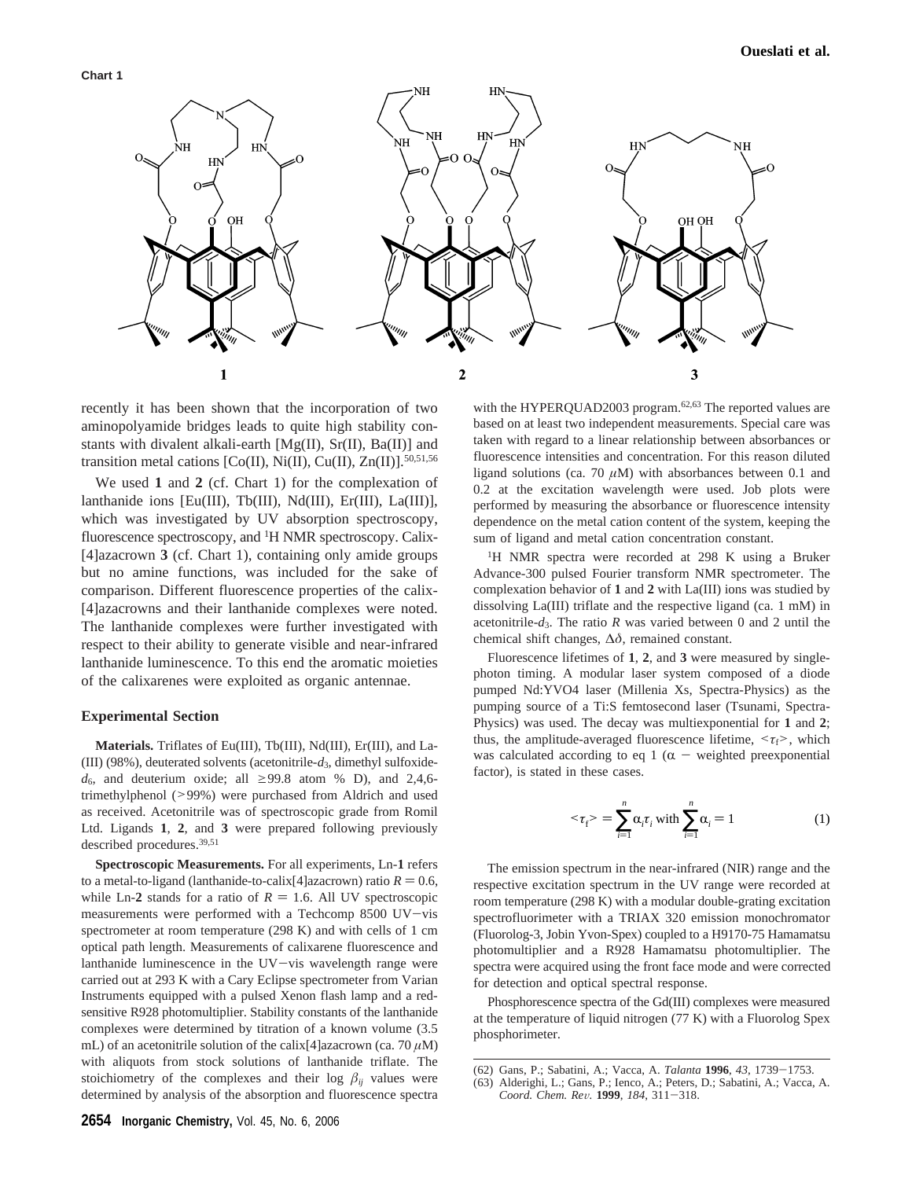

recently it has been shown that the incorporation of two aminopolyamide bridges leads to quite high stability constants with divalent alkali-earth  $[Mg(II), Sr(II), Ba(II)]$  and transition metal cations [Co(II), Ni(II), Cu(II), Zn(II)]. $50,51,56$ 

We used **1** and **2** (cf. Chart 1) for the complexation of lanthanide ions [Eu(III), Tb(III), Nd(III), Er(III), La(III)], which was investigated by UV absorption spectroscopy, fluorescence spectroscopy, and <sup>1</sup>H NMR spectroscopy. Calix-[4]azacrown **3** (cf. Chart 1), containing only amide groups but no amine functions, was included for the sake of comparison. Different fluorescence properties of the calix- [4]azacrowns and their lanthanide complexes were noted. The lanthanide complexes were further investigated with respect to their ability to generate visible and near-infrared lanthanide luminescence. To this end the aromatic moieties of the calixarenes were exploited as organic antennae.

#### **Experimental Section**

**Materials.** Triflates of Eu(III), Tb(III), Nd(III), Er(III), and La- (III) (98%), deuterated solvents (acetonitrile-*d*3, dimethyl sulfoxide $d_6$ , and deuterium oxide; all  $\geq$ 99.8 atom % D), and 2,4,6trimethylphenol (>99%) were purchased from Aldrich and used as received. Acetonitrile was of spectroscopic grade from Romil Ltd. Ligands **1**, **2**, and **3** were prepared following previously described procedures.39,51

**Spectroscopic Measurements.** For all experiments, Ln-**1** refers to a metal-to-ligand (lanthanide-to-calix[4]azacrown) ratio  $R = 0.6$ , while Ln-2 stands for a ratio of  $R = 1.6$ . All UV spectroscopic measurements were performed with a Techcomp 8500 UV-vis spectrometer at room temperature (298 K) and with cells of 1 cm optical path length. Measurements of calixarene fluorescence and lanthanide luminescence in the UV-vis wavelength range were carried out at 293 K with a Cary Eclipse spectrometer from Varian Instruments equipped with a pulsed Xenon flash lamp and a redsensitive R928 photomultiplier. Stability constants of the lanthanide complexes were determined by titration of a known volume (3.5 mL) of an acetonitrile solution of the calix<sup>[4]</sup> azacrown (ca. 70  $\mu$ M) with aliquots from stock solutions of lanthanide triflate. The stoichiometry of the complexes and their log  $\beta_{ij}$  values were determined by analysis of the absorption and fluorescence spectra

with the HYPERQUAD2003 program.<sup>62,63</sup> The reported values are based on at least two independent measurements. Special care was taken with regard to a linear relationship between absorbances or fluorescence intensities and concentration. For this reason diluted ligand solutions (ca. 70  $\mu$ M) with absorbances between 0.1 and 0.2 at the excitation wavelength were used. Job plots were performed by measuring the absorbance or fluorescence intensity dependence on the metal cation content of the system, keeping the sum of ligand and metal cation concentration constant.

<sup>1</sup>H NMR spectra were recorded at 298 K using a Bruker Advance-300 pulsed Fourier transform NMR spectrometer. The complexation behavior of **1** and **2** with La(III) ions was studied by dissolving La(III) triflate and the respective ligand (ca. 1 mM) in acetonitrile-*d*3. The ratio *R* was varied between 0 and 2 until the chemical shift changes, ∆*δ*, remained constant.

Fluorescence lifetimes of **1**, **2**, and **3** were measured by singlephoton timing. A modular laser system composed of a diode pumped Nd:YVO4 laser (Millenia Xs, Spectra-Physics) as the pumping source of a Ti:S femtosecond laser (Tsunami, Spectra-Physics) was used. The decay was multiexponential for **1** and **2**; thus, the amplitude-averaged fluorescence lifetime,  $\langle \tau_f \rangle$ , which was calculated according to eq 1 ( $\alpha$  - weighted preexponential factor), is stated in these cases.

$$
\langle \tau_{f} \rangle = \sum_{i=1}^{n} \alpha_{i} \tau_{i} \text{ with } \sum_{i=1}^{n} \alpha_{i} = 1 \tag{1}
$$

The emission spectrum in the near-infrared (NIR) range and the respective excitation spectrum in the UV range were recorded at room temperature (298 K) with a modular double-grating excitation spectrofluorimeter with a TRIAX 320 emission monochromator (Fluorolog-3, Jobin Yvon-Spex) coupled to a H9170-75 Hamamatsu photomultiplier and a R928 Hamamatsu photomultiplier. The spectra were acquired using the front face mode and were corrected for detection and optical spectral response.

Phosphorescence spectra of the Gd(III) complexes were measured at the temperature of liquid nitrogen (77 K) with a Fluorolog Spex phosphorimeter.

<sup>(62)</sup> Gans, P.; Sabatini, A.; Vacca, A. *Talanta* **<sup>1996</sup>**, *<sup>43</sup>*, 1739-1753.

<sup>(63)</sup> Alderighi, L.; Gans, P.; Ienco, A.; Peters, D.; Sabatini, A.; Vacca, A. *Coord. Chem. Re*V*.* **<sup>1999</sup>**, *<sup>184</sup>*, 311-318.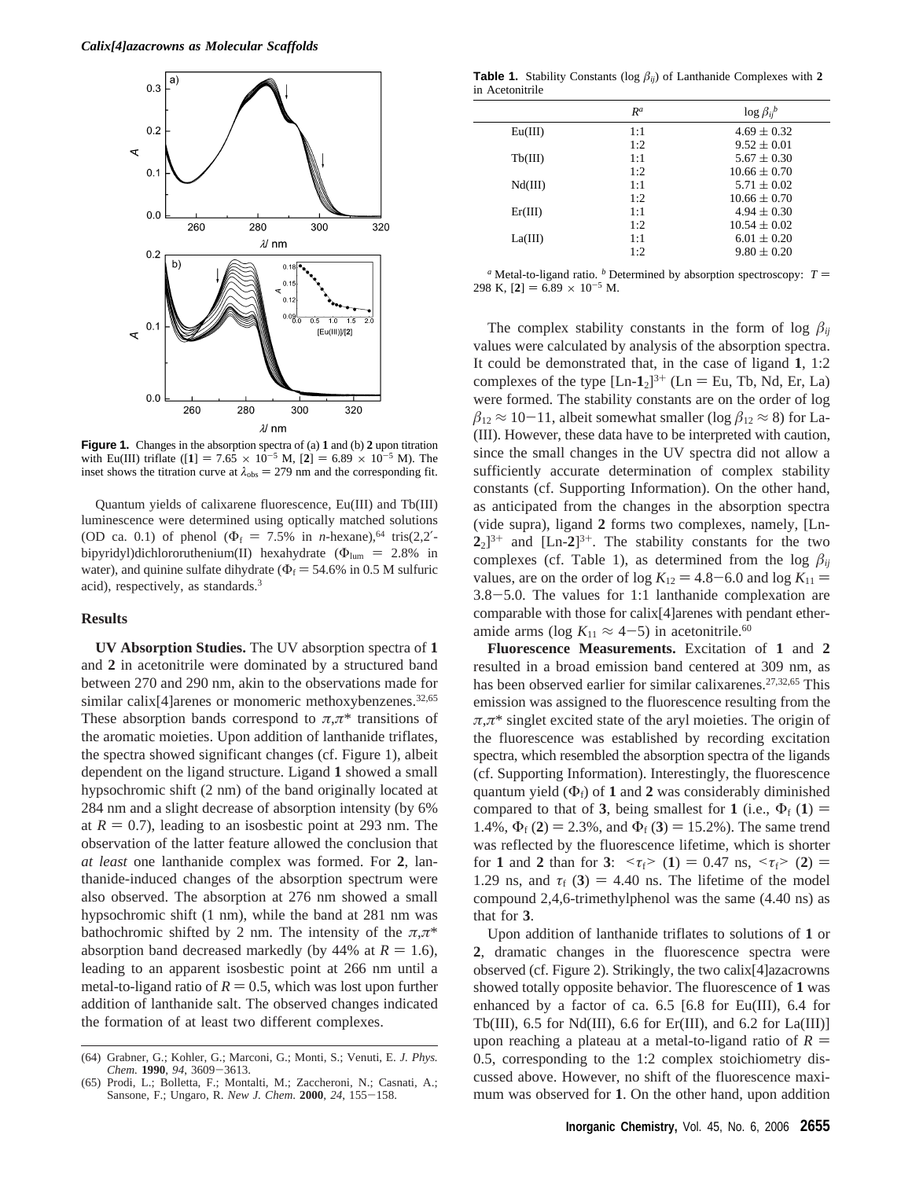

**Figure 1.** Changes in the absorption spectra of (a) **1** and (b) **2** upon titration with Eu(III) triflate ([1] = 7.65  $\times$  10<sup>-5</sup> M, [2] = 6.89  $\times$  10<sup>-5</sup> M). The inset shows the titration curve at  $\lambda_{obs} = 279$  nm and the corresponding fit.

Quantum yields of calixarene fluorescence, Eu(III) and Tb(III) luminescence were determined using optically matched solutions (OD ca. 0.1) of phenol ( $\Phi_f = 7.5\%$  in *n*-hexane),<sup>64</sup> tris(2,2<sup>'</sup>bipyridyl)dichlororuthenium(II) hexahydrate ( $\Phi_{\text{lum}} = 2.8\%$  in water), and quinine sulfate dihydrate ( $\Phi$ <sub>f</sub> = 54.6% in 0.5 M sulfuric acid), respectively, as standards.3

#### **Results**

**UV Absorption Studies.** The UV absorption spectra of **1** and **2** in acetonitrile were dominated by a structured band between 270 and 290 nm, akin to the observations made for similar calix $[4]$ arenes or monomeric methoxybenzenes.<sup>32,65</sup> These absorption bands correspond to  $\pi, \pi^*$  transitions of the aromatic moieties. Upon addition of lanthanide triflates, the spectra showed significant changes (cf. Figure 1), albeit dependent on the ligand structure. Ligand **1** showed a small hypsochromic shift (2 nm) of the band originally located at 284 nm and a slight decrease of absorption intensity (by 6% at  $R = 0.7$ ), leading to an isosbestic point at 293 nm. The observation of the latter feature allowed the conclusion that *at least* one lanthanide complex was formed. For **2**, lanthanide-induced changes of the absorption spectrum were also observed. The absorption at 276 nm showed a small hypsochromic shift (1 nm), while the band at 281 nm was bathochromic shifted by 2 nm. The intensity of the  $\pi, \pi^*$ absorption band decreased markedly (by  $44\%$  at  $R = 1.6$ ), leading to an apparent isosbestic point at 266 nm until a metal-to-ligand ratio of  $R = 0.5$ , which was lost upon further addition of lanthanide salt. The observed changes indicated the formation of at least two different complexes.

**Table 1.** Stability Constants ( $log \beta_{ij}$ ) of Lanthanide Complexes with 2 in Acetonitrile

|         | $R^a$ | $\log \beta_{ii}^b$ |
|---------|-------|---------------------|
| Eu(III) | 1:1   | $4.69 \pm 0.32$     |
|         | 1:2   | $9.52 \pm 0.01$     |
| Tb(III) | 1:1   | $5.67 \pm 0.30$     |
|         | 1:2   | $10.66 \pm 0.70$    |
| Nd(III) | 1:1   | $5.71 \pm 0.02$     |
|         | 1:2   | $10.66 \pm 0.70$    |
| Er(III) | 1:1   | $4.94 \pm 0.30$     |
|         | 1:2   | $10.54 \pm 0.02$    |
| La(III) | 1:1   | $6.01 \pm 0.20$     |
|         | 1:2   | $9.80 \pm 0.20$     |
|         |       |                     |

<sup>*a*</sup> Metal-to-ligand ratio. <sup>*b*</sup> Determined by absorption spectroscopy:  $T =$ 298 K,  $[2] = 6.89 \times 10^{-5}$  M.

The complex stability constants in the form of log  $\beta_{ii}$ values were calculated by analysis of the absorption spectra. It could be demonstrated that, in the case of ligand **1**, 1:2 complexes of the type  $[Ln-1<sub>2</sub>]^{3+}$  ( $Ln = Eu$ , Tb, Nd, Er, La) were formed. The stability constants are on the order of log  $\beta_{12} \approx 10-11$ , albeit somewhat smaller (log  $\beta_{12} \approx 8$ ) for La-(III). However, these data have to be interpreted with caution, since the small changes in the UV spectra did not allow a sufficiently accurate determination of complex stability constants (cf. Supporting Information). On the other hand, as anticipated from the changes in the absorption spectra (vide supra), ligand **2** forms two complexes, namely, [Ln- $2_2$ ]<sup>3+</sup> and [Ln- $2$ ]<sup>3+</sup>. The stability constants for the two complexes (cf. Table 1), as determined from the log  $\beta_{ij}$ values, are on the order of log  $K_{12} = 4.8 - 6.0$  and log  $K_{11} =$ 3.8-5.0. The values for 1:1 lanthanide complexation are comparable with those for calix[4]arenes with pendant etheramide arms (log  $K_{11} \approx 4-5$ ) in acetonitrile.<sup>60</sup>

**Fluorescence Measurements.** Excitation of **1** and **2** resulted in a broad emission band centered at 309 nm, as has been observed earlier for similar calixarenes.<sup>27,32,65</sup> This emission was assigned to the fluorescence resulting from the *π*,*π*\* singlet excited state of the aryl moieties. The origin of the fluorescence was established by recording excitation spectra, which resembled the absorption spectra of the ligands (cf. Supporting Information). Interestingly, the fluorescence quantum yield  $(\Phi_f)$  of 1 and 2 was considerably diminished compared to that of **3**, being smallest for **1** (i.e.,  $\Phi_f$  (**1**) = 1.4%,  $\Phi_f$  (2) = 2.3%, and  $\Phi_f$  (3) = 15.2%). The same trend was reflected by the fluorescence lifetime, which is shorter for **1** and **2** than for **3**:  $\langle \tau_f \rangle$  (1) = 0.47 ns,  $\langle \tau_f \rangle$  (2) = 1.29 ns, and  $\tau_f$  (3) = 4.40 ns. The lifetime of the model compound 2,4,6-trimethylphenol was the same (4.40 ns) as that for **3**.

Upon addition of lanthanide triflates to solutions of **1** or **2**, dramatic changes in the fluorescence spectra were observed (cf. Figure 2). Strikingly, the two calix[4]azacrowns showed totally opposite behavior. The fluorescence of **1** was enhanced by a factor of ca. 6.5 [6.8 for Eu(III), 6.4 for Tb(III), 6.5 for Nd(III), 6.6 for Er(III), and 6.2 for  $La(III)$ ] upon reaching a plateau at a metal-to-ligand ratio of  $R =$ 0.5, corresponding to the 1:2 complex stoichiometry discussed above. However, no shift of the fluorescence maximum was observed for **1**. On the other hand, upon addition

<sup>(64)</sup> Grabner, G.; Kohler, G.; Marconi, G.; Monti, S.; Venuti, E. *J. Phys. Chem.* **<sup>1990</sup>**, *<sup>94</sup>*, 3609-3613. (65) Prodi, L.; Bolletta, F.; Montalti, M.; Zaccheroni, N.; Casnati, A.;

Sansone, F.; Ungaro, R. *New J. Chem*. **<sup>2000</sup>**, *<sup>24</sup>*, 155-158.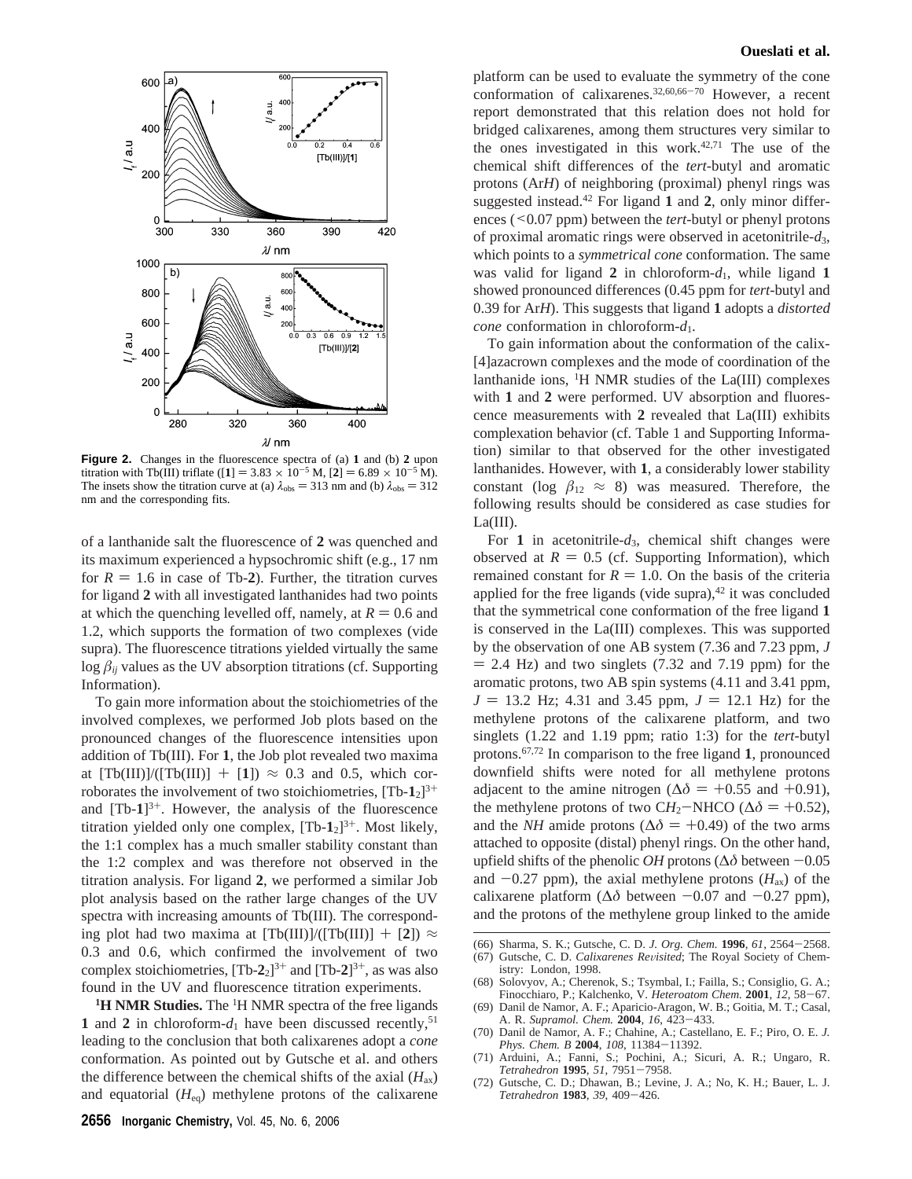

**Figure 2.** Changes in the fluorescence spectra of (a) **1** and (b) **2** upon titration with Tb(III) triflate ([1] = 3.83  $\times$  10<sup>-5</sup> M, [2] = 6.89  $\times$  10<sup>-5</sup> M). The insets show the titration curve at (a)  $\lambda_{obs} = 313$  nm and (b)  $\lambda_{obs} = 312$ nm and the corresponding fits.

of a lanthanide salt the fluorescence of **2** was quenched and its maximum experienced a hypsochromic shift (e.g., 17 nm for  $R = 1.6$  in case of Tb-2). Further, the titration curves for ligand **2** with all investigated lanthanides had two points at which the quenching levelled off, namely, at  $R = 0.6$  and 1.2, which supports the formation of two complexes (vide supra). The fluorescence titrations yielded virtually the same  $\log \beta_{ij}$  values as the UV absorption titrations (cf. Supporting Information).

To gain more information about the stoichiometries of the involved complexes, we performed Job plots based on the pronounced changes of the fluorescence intensities upon addition of Tb(III). For **1**, the Job plot revealed two maxima at  $[Tb(III)]/[(Tb(III)] + [1]) \approx 0.3$  and 0.5, which corroborates the involvement of two stoichiometries,  $[Tb-1<sub>2</sub>]^{3+}$ and  $[Tb-1]^{3+}$ . However, the analysis of the fluorescence titration yielded only one complex,  $[Tb-1<sub>2</sub>]^{3+}$ . Most likely, the 1:1 complex has a much smaller stability constant than the 1:2 complex and was therefore not observed in the titration analysis. For ligand **2**, we performed a similar Job plot analysis based on the rather large changes of the UV spectra with increasing amounts of Tb(III). The corresponding plot had two maxima at  $[Tb(III)]/([Tb(III)] + [2]) \approx$ 0.3 and 0.6, which confirmed the involvement of two complex stoichiometries,  $[Tb-2<sub>2</sub>]^{3+}$  and  $[Tb-2<sub>1</sub>]^{3+}$ , as was also found in the UV and fluorescence titration experiments.

<sup>1</sup>H NMR Studies. The <sup>1</sup>H NMR spectra of the free ligands **1** and **2** in chloroform- $d_1$  have been discussed recently,<sup>51</sup> leading to the conclusion that both calixarenes adopt a *cone* conformation. As pointed out by Gutsche et al. and others the difference between the chemical shifts of the axial  $(H_{ax})$ and equatorial  $(H_{eq})$  methylene protons of the calixarene

## **Oueslati et al.**

platform can be used to evaluate the symmetry of the cone conformation of calixarenes.32,60,66-<sup>70</sup> However, a recent report demonstrated that this relation does not hold for bridged calixarenes, among them structures very similar to the ones investigated in this work. $42,71$  The use of the chemical shift differences of the *tert*-butyl and aromatic protons (Ar*H*) of neighboring (proximal) phenyl rings was suggested instead.42 For ligand **1** and **2**, only minor differences (<0.07 ppm) between the *tert*-butyl or phenyl protons of proximal aromatic rings were observed in acetonitrile-*d*3, which points to a *symmetrical cone* conformation. The same was valid for ligand  $2$  in chloroform- $d_1$ , while ligand  $1$ showed pronounced differences (0.45 ppm for *tert*-butyl and 0.39 for Ar*H*). This suggests that ligand **1** adopts a *distorted cone* conformation in chloroform-*d*1.

To gain information about the conformation of the calix- [4]azacrown complexes and the mode of coordination of the lanthanide ions,  ${}^{1}H$  NMR studies of the La(III) complexes with **1** and **2** were performed. UV absorption and fluorescence measurements with **2** revealed that La(III) exhibits complexation behavior (cf. Table 1 and Supporting Information) similar to that observed for the other investigated lanthanides. However, with **1**, a considerably lower stability constant (log  $\beta_{12} \approx 8$ ) was measured. Therefore, the following results should be considered as case studies for  $La(III)$ .

For **1** in acetonitrile-*d*3, chemical shift changes were observed at  $R = 0.5$  (cf. Supporting Information), which remained constant for  $R = 1.0$ . On the basis of the criteria applied for the free ligands (vide supra), $42$  it was concluded that the symmetrical cone conformation of the free ligand **1** is conserved in the La(III) complexes. This was supported by the observation of one AB system (7.36 and 7.23 ppm, *J*  $= 2.4$  Hz) and two singlets (7.32 and 7.19 ppm) for the aromatic protons, two AB spin systems (4.11 and 3.41 ppm,  $J = 13.2$  Hz; 4.31 and 3.45 ppm,  $J = 12.1$  Hz) for the methylene protons of the calixarene platform, and two singlets (1.22 and 1.19 ppm; ratio 1:3) for the *tert-*butyl protons.67,72 In comparison to the free ligand **1**, pronounced downfield shifts were noted for all methylene protons adjacent to the amine nitrogen ( $\Delta\delta$  = +0.55 and +0.91), the methylene protons of two CH<sub>2</sub>-NHCO ( $\Delta \delta$  = +0.52), and the *NH* amide protons ( $\Delta \delta$  = +0.49) of the two arms attached to opposite (distal) phenyl rings. On the other hand, upfield shifts of the phenolic *OH* protons ( $\Delta\delta$  between  $-0.05$ and  $-0.27$  ppm), the axial methylene protons  $(H_{ax})$  of the calixarene platform ( $\Delta\delta$  between  $-0.07$  and  $-0.27$  ppm), and the protons of the methylene group linked to the amide

- (66) Sharma, S. K.; Gutsche, C. D. *J. Org. Chem.* **<sup>1996</sup>**, *<sup>61</sup>*, 2564-2568. Gutsche, C. D. *Calixarenes Revisited*; The Royal Society of Chem-
- istry: London, 1998. (68) Solovyov, A.; Cherenok, S.; Tsymbal, I.; Failla, S.; Consiglio, G. A.;
- Finocchiaro, P.; Kalchenko, V. *Heteroatom Chem.* **<sup>2001</sup>**, *<sup>12</sup>*, 58-67. (69) Danil de Namor, A. F.; Aparicio-Aragon, W. B.; Goitia, M. T.; Casal,
- A. R. *Supramol. Chem.* **<sup>2004</sup>**, *<sup>16</sup>*, 423-433.
- (70) Danil de Namor, A. F.; Chahine, A.; Castellano, E. F.; Piro, O. E. *J. Phys. Chem. B* **<sup>2004</sup>**, *<sup>108</sup>*, 11384-11392. (71) Arduini, A.; Fanni, S.; Pochini, A.; Sicuri, A. R.; Ungaro, R.
- *Tetrahedron* **<sup>1995</sup>**, *<sup>51</sup>*, 7951-7958.
- (72) Gutsche, C. D.; Dhawan, B.; Levine, J. A.; No, K. H.; Bauer, L. J. *Tetrahedron* **<sup>1983</sup>**, *<sup>39</sup>*, 409-426.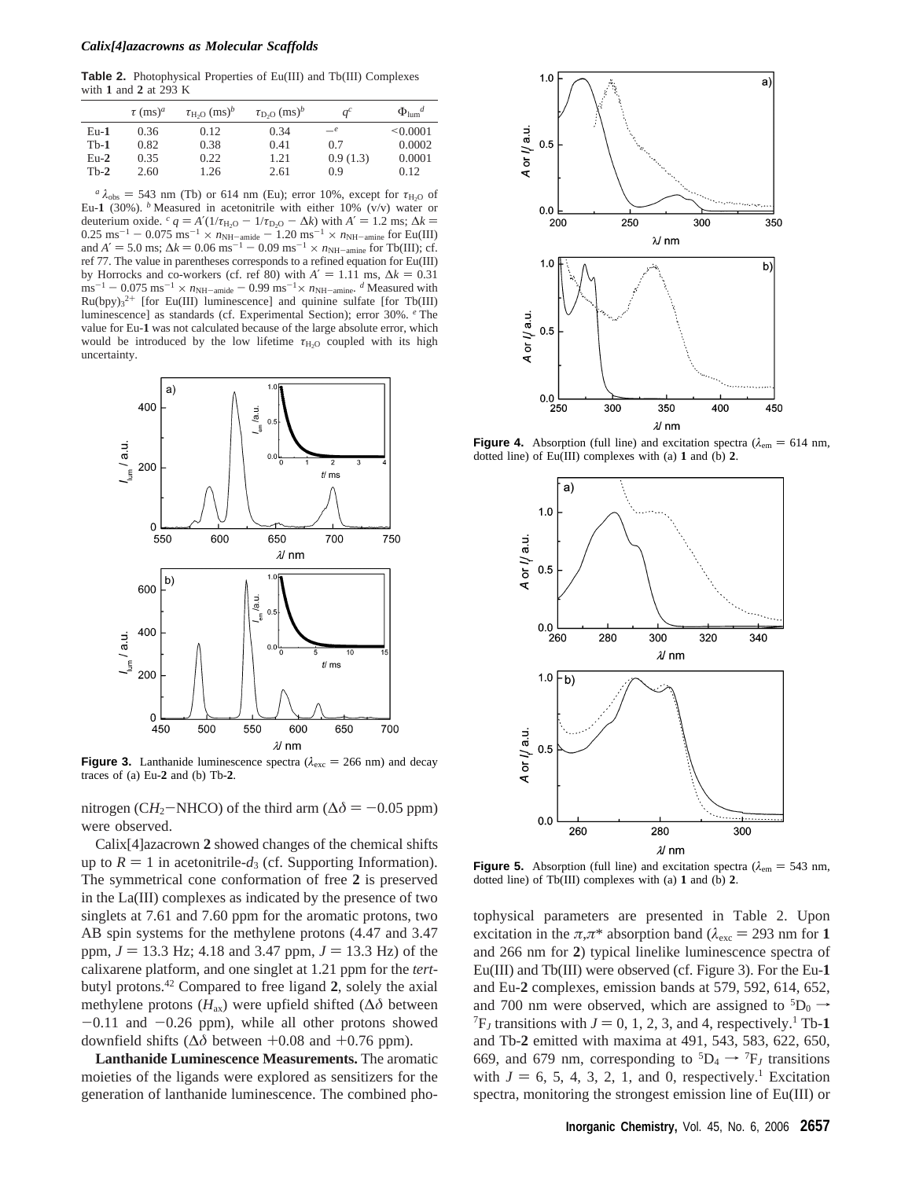#### *Calix[4]azacrowns as Molecular Scaffolds*

**Table 2.** Photophysical Properties of Eu(III) and Tb(III) Complexes with **1** and **2** at 293 K

|        | $\tau$ (ms) <sup>a</sup> | $\tau_{\text{H-}O}$ (ms) <sup>b</sup> | $\tau_{\rm D,O}$ (ms) <sup>b</sup> | $q^c$    | $\Phi_{\text{lum}}^d$ |
|--------|--------------------------|---------------------------------------|------------------------------------|----------|-----------------------|
| $Eu-1$ | 0.36                     | 0.12                                  | 0.34                               | $-e$     | $\leq 0.0001$         |
| $Th-1$ | 0.82                     | 0.38                                  | 0.41                               | 0.7      | 0.0002                |
| $Eu-2$ | 0.35                     | 0.22                                  | 1.21                               | 0.9(1.3) | 0.0001                |
| $Th-2$ | 2.60                     | 1.26                                  | 2.61                               | 0.9      | 0.12                  |

 $a \lambda_{obs} = 543$  nm (Tb) or 614 nm (Eu); error 10%, except for  $\tau_{H_2O}$  of Eu-1 (30%). <sup>*b*</sup> Measured in acetonitrile with either 10% ( $v/v$ ) water or deuterium oxide.  $c q = A'(1/\tau_{H_2O} - 1/\tau_{D_2O} - \Delta k)$  with  $A' = 1.2$  ms;  $\Delta k =$  $0.25 \text{ ms}^{-1} - 0.075 \text{ ms}^{-1} \times n_{\text{NH}}-\text{anide}} - 1.20 \text{ ms}^{-1} \times n_{\text{NH}}-\text{anine}$  for Eu(III) and  $A' = 5.0 \text{ ms} \cdot \Delta k = 0.06 \text{ ms}^{-1} - 0.09 \text{ ms}^{-1} \times n_{\text{NH}}-\text{max}$  for Th(III) of and  $A' = 5.0$  ms;  $\Delta k = 0.06$  ms<sup>-1</sup>  $- 0.09$  ms<sup>-1</sup>  $\times n_{\text{NH}}$ -amine for Tb(III); cf.<br>ref 77. The value in parentheses corresponds to a refined equation for Fu(III) ref 77. The value in parentheses corresponds to a refined equation for Eu(III) by Horrocks and co-workers (cf. ref 80) with  $A' = 1.11$  ms,  $\Delta k = 0.31$  $\text{m} \text{s}^{-1}$  - 0.075 ms<sup>-1</sup> ×  $n_{\text{NH–amide}}$  - 0.99 ms<sup>-1</sup> ×  $n_{\text{NH–amine}}$ . *d* Measured with  $Ru(bpy)_{3}^{2+}$  [for Eu(III) luminescence] and quinine sulfate [for Tb(III) luminescence] as standards (cf. Experimental Section); error 30%. *<sup>e</sup>* The value for Eu-**1** was not calculated because of the large absolute error, which would be introduced by the low lifetime *τ*<sub>H2O</sub> coupled with its high uncertainty.



**Figure 3.** Lanthanide luminescence spectra ( $\lambda_{\text{exc}} = 266$  nm) and decay traces of (a) Eu-**2** and (b) Tb-**2**.

nitrogen (C*H*<sub>2</sub>-NHCO) of the third arm ( $\Delta \delta$  = -0.05 ppm) were observed.

Calix[4]azacrown **2** showed changes of the chemical shifts up to  $R = 1$  in acetonitrile- $d_3$  (cf. Supporting Information). The symmetrical cone conformation of free **2** is preserved in the La(III) complexes as indicated by the presence of two singlets at 7.61 and 7.60 ppm for the aromatic protons, two AB spin systems for the methylene protons (4.47 and 3.47 ppm,  $J = 13.3$  Hz; 4.18 and 3.47 ppm,  $J = 13.3$  Hz) of the calixarene platform, and one singlet at 1.21 ppm for the *tert*butyl protons.42 Compared to free ligand **2**, solely the axial methylene protons ( $H_{ax}$ ) were upfield shifted ( $\Delta \delta$  between  $-0.11$  and  $-0.26$  ppm), while all other protons showed downfield shifts ( $\Delta\delta$  between +0.08 and +0.76 ppm).

**Lanthanide Luminescence Measurements.** The aromatic moieties of the ligands were explored as sensitizers for the generation of lanthanide luminescence. The combined pho-



**Figure 4.** Absorption (full line) and excitation spectra ( $\lambda_{em} = 614$  nm, dotted line) of Eu(III) complexes with (a) **1** and (b) **2**.



**Figure 5.** Absorption (full line) and excitation spectra ( $\lambda_{em}$  = 543 nm, dotted line) of Tb(III) complexes with (a) **1** and (b) **2**.

tophysical parameters are presented in Table 2. Upon excitation in the  $\pi, \pi^*$  absorption band ( $\lambda_{\text{exc}} = 293$  nm for 1 and 266 nm for **2**) typical linelike luminescence spectra of Eu(III) and Tb(III) were observed (cf. Figure 3). For the Eu-**1** and Eu-**2** complexes, emission bands at 579, 592, 614, 652, and 700 nm were observed, which are assigned to  ${}^5D_0 \rightarrow$  ${}^{7}F_J$  transitions with  $J = 0, 1, 2, 3$ , and 4, respectively.<sup>1</sup> Tb-1 and Tb-**2** emitted with maxima at 491, 543, 583, 622, 650, 669, and 679 nm, corresponding to  ${}^5D_4 \rightarrow {}^7F_J$  transitions with  $J = 6, 5, 4, 3, 2, 1,$  and 0, respectively.<sup>1</sup> Excitation spectra, monitoring the strongest emission line of Eu(III) or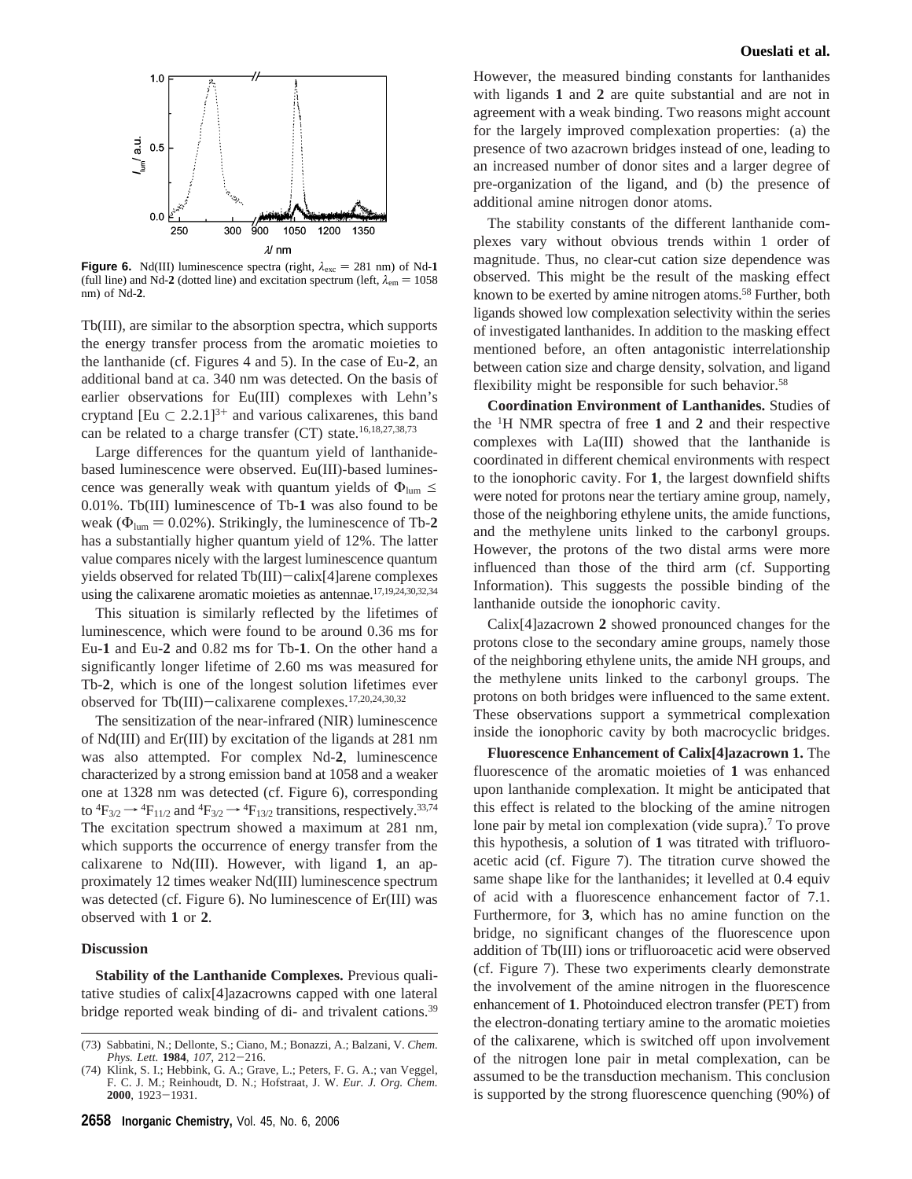

**Figure 6.** Nd(III) luminescence spectra (right,  $\lambda_{\text{exc}} = 281 \text{ nm}$ ) of Nd-1 (full line) and Nd-2 (dotted line) and excitation spectrum (left,  $\lambda_{em} = 1058$ nm) of Nd-**2**.

Tb(III), are similar to the absorption spectra, which supports the energy transfer process from the aromatic moieties to the lanthanide (cf. Figures 4 and 5). In the case of Eu-**2**, an additional band at ca. 340 nm was detected. On the basis of earlier observations for Eu(III) complexes with Lehn's cryptand [Eu  $\subset 2.2.1$ ]<sup>3+</sup> and various calixarenes, this band can be related to a charge transfer (CT) state.<sup>16,18,27,38,73</sup>

Large differences for the quantum yield of lanthanidebased luminescence were observed. Eu(III)-based luminescence was generally weak with quantum yields of  $\Phi_{\text{lum}} \leq$ 0.01%. Tb(III) luminescence of Tb-**1** was also found to be weak ( $\Phi_{\text{lum}} = 0.02\%$ ). Strikingly, the luminescence of Tb-2 has a substantially higher quantum yield of 12%. The latter value compares nicely with the largest luminescence quantum yields observed for related Tb(III)-calix[4]arene complexes using the calixarene aromatic moieties as antennae.17,19,24,30,32,34

This situation is similarly reflected by the lifetimes of luminescence, which were found to be around 0.36 ms for Eu-**1** and Eu-**2** and 0.82 ms for Tb-**1**. On the other hand a significantly longer lifetime of 2.60 ms was measured for Tb-**2**, which is one of the longest solution lifetimes ever observed for Tb(III)-calixarene complexes.17,20,24,30,32

The sensitization of the near-infrared (NIR) luminescence of Nd(III) and Er(III) by excitation of the ligands at 281 nm was also attempted. For complex Nd-**2**, luminescence characterized by a strong emission band at 1058 and a weaker one at 1328 nm was detected (cf. Figure 6), corresponding to  ${}^4F_{3/2} \rightarrow {}^4F_{11/2}$  and  ${}^4F_{3/2} \rightarrow {}^4F_{13/2}$  transitions, respectively.<sup>33,74</sup> The excitation spectrum showed a maximum at 281 nm, which supports the occurrence of energy transfer from the calixarene to Nd(III). However, with ligand **1**, an approximately 12 times weaker Nd(III) luminescence spectrum was detected (cf. Figure 6). No luminescence of Er(III) was observed with **1** or **2**.

# **Discussion**

**Stability of the Lanthanide Complexes.** Previous qualitative studies of calix[4]azacrowns capped with one lateral bridge reported weak binding of di- and trivalent cations.<sup>39</sup> However, the measured binding constants for lanthanides with ligands **1** and **2** are quite substantial and are not in agreement with a weak binding. Two reasons might account for the largely improved complexation properties: (a) the presence of two azacrown bridges instead of one, leading to an increased number of donor sites and a larger degree of pre-organization of the ligand, and (b) the presence of additional amine nitrogen donor atoms.

The stability constants of the different lanthanide complexes vary without obvious trends within 1 order of magnitude. Thus, no clear-cut cation size dependence was observed. This might be the result of the masking effect known to be exerted by amine nitrogen atoms.<sup>58</sup> Further, both ligands showed low complexation selectivity within the series of investigated lanthanides. In addition to the masking effect mentioned before, an often antagonistic interrelationship between cation size and charge density, solvation, and ligand flexibility might be responsible for such behavior.<sup>58</sup>

**Coordination Environment of Lanthanides.** Studies of the <sup>1</sup> H NMR spectra of free **1** and **2** and their respective complexes with La(III) showed that the lanthanide is coordinated in different chemical environments with respect to the ionophoric cavity. For **1**, the largest downfield shifts were noted for protons near the tertiary amine group, namely, those of the neighboring ethylene units, the amide functions, and the methylene units linked to the carbonyl groups. However, the protons of the two distal arms were more influenced than those of the third arm (cf. Supporting Information). This suggests the possible binding of the lanthanide outside the ionophoric cavity.

Calix[4]azacrown **2** showed pronounced changes for the protons close to the secondary amine groups, namely those of the neighboring ethylene units, the amide NH groups, and the methylene units linked to the carbonyl groups. The protons on both bridges were influenced to the same extent. These observations support a symmetrical complexation inside the ionophoric cavity by both macrocyclic bridges.

**Fluorescence Enhancement of Calix[4]azacrown 1.** The fluorescence of the aromatic moieties of **1** was enhanced upon lanthanide complexation. It might be anticipated that this effect is related to the blocking of the amine nitrogen lone pair by metal ion complexation (vide supra).7 To prove this hypothesis, a solution of **1** was titrated with trifluoroacetic acid (cf. Figure 7). The titration curve showed the same shape like for the lanthanides; it levelled at 0.4 equiv of acid with a fluorescence enhancement factor of 7.1. Furthermore, for **3**, which has no amine function on the bridge, no significant changes of the fluorescence upon addition of Tb(III) ions or trifluoroacetic acid were observed (cf. Figure 7). These two experiments clearly demonstrate the involvement of the amine nitrogen in the fluorescence enhancement of **1**. Photoinduced electron transfer (PET) from the electron-donating tertiary amine to the aromatic moieties of the calixarene, which is switched off upon involvement of the nitrogen lone pair in metal complexation, can be assumed to be the transduction mechanism. This conclusion is supported by the strong fluorescence quenching (90%) of

<sup>(73)</sup> Sabbatini, N.; Dellonte, S.; Ciano, M.; Bonazzi, A.; Balzani, V. *Chem. Phys. Lett.* **<sup>1984</sup>**, *<sup>107</sup>*, 212-216.

<sup>(74)</sup> Klink, S. I.; Hebbink, G. A.; Grave, L.; Peters, F. G. A.; van Veggel, F. C. J. M.; Reinhoudt, D. N.; Hofstraat, J. W. *Eur. J. Org. Chem.* **<sup>2000</sup>**, 1923-1931.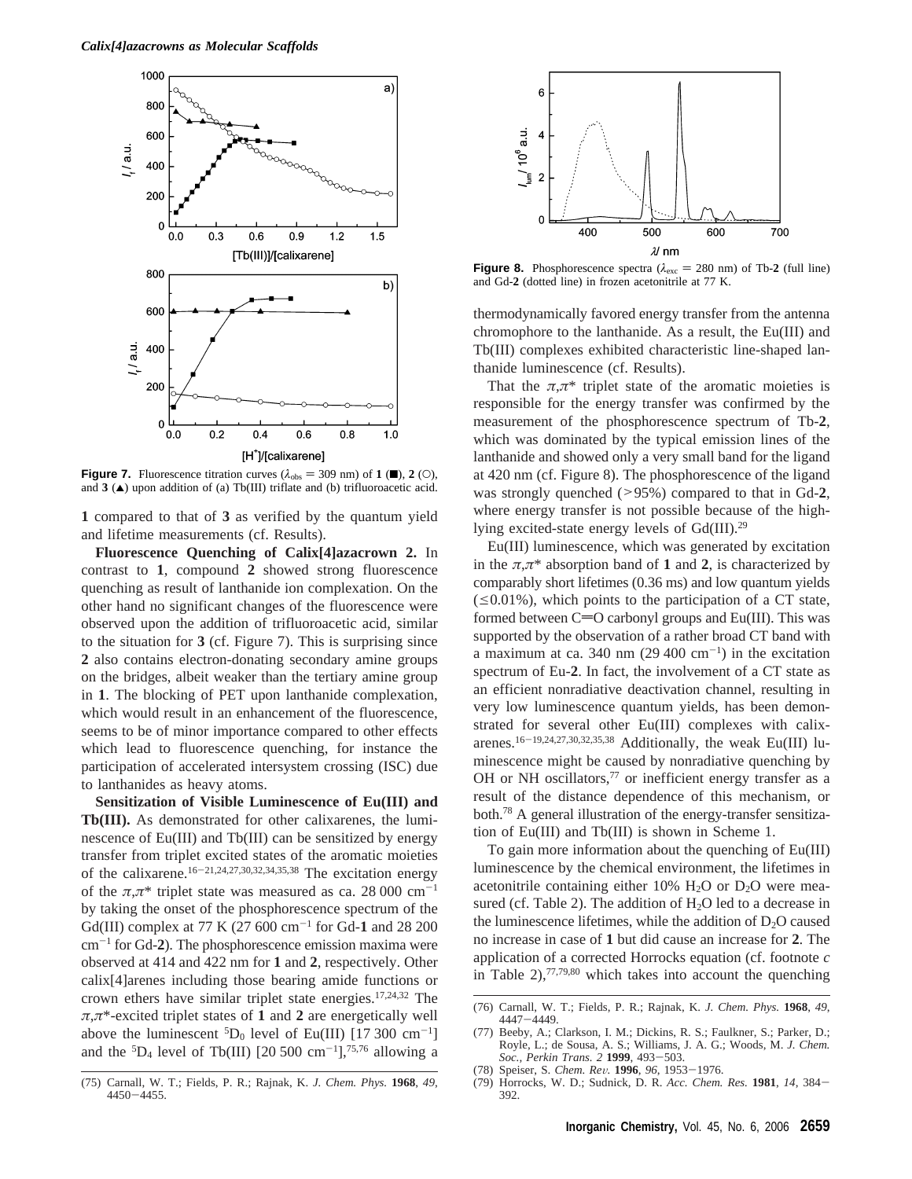

**Figure 7.** Fluorescence titration curves  $(\lambda_{obs} = 309 \text{ nm})$  of **1** ( $\blacksquare$ ), **2** (O), and  $3$  ( $\triangle$ ) upon addition of (a) Tb(III) triflate and (b) trifluoroacetic acid.

**1** compared to that of **3** as verified by the quantum yield and lifetime measurements (cf. Results).

**Fluorescence Quenching of Calix[4]azacrown 2.** In contrast to **1**, compound **2** showed strong fluorescence quenching as result of lanthanide ion complexation. On the other hand no significant changes of the fluorescence were observed upon the addition of trifluoroacetic acid, similar to the situation for **3** (cf. Figure 7). This is surprising since **2** also contains electron-donating secondary amine groups on the bridges, albeit weaker than the tertiary amine group in **1**. The blocking of PET upon lanthanide complexation, which would result in an enhancement of the fluorescence, seems to be of minor importance compared to other effects which lead to fluorescence quenching, for instance the participation of accelerated intersystem crossing (ISC) due to lanthanides as heavy atoms.

**Sensitization of Visible Luminescence of Eu(III) and Tb(III).** As demonstrated for other calixarenes, the luminescence of Eu(III) and Tb(III) can be sensitized by energy transfer from triplet excited states of the aromatic moieties of the calixarene.16-21,24,27,30,32,34,35,38 The excitation energy of the  $\pi, \pi^*$  triplet state was measured as ca. 28 000 cm<sup>-1</sup> by taking the onset of the phosphorescence spectrum of the Gd(III) complex at 77 K (27 600 cm-<sup>1</sup> for Gd-**1** and 28 200 cm-<sup>1</sup> for Gd-**2**). The phosphorescence emission maxima were observed at 414 and 422 nm for **1** and **2**, respectively. Other calix[4]arenes including those bearing amide functions or crown ethers have similar triplet state energies.17,24,32 The  $\pi, \pi^*$ -excited triplet states of **1** and **2** are energetically well above the luminescent  ${}^5D_0$  level of Eu(III) [17 300 cm<sup>-1</sup>] and the  ${}^{5}D_4$  level of Tb(III) [20 500 cm<sup>-1</sup>],<sup>75,76</sup> allowing a





**Figure 8.** Phosphorescence spectra ( $\lambda_{\text{exc}} = 280 \text{ nm}$ ) of Tb-2 (full line) and Gd-**2** (dotted line) in frozen acetonitrile at 77 K.

thermodynamically favored energy transfer from the antenna chromophore to the lanthanide. As a result, the Eu(III) and Tb(III) complexes exhibited characteristic line-shaped lanthanide luminescence (cf. Results).

That the  $\pi, \pi^*$  triplet state of the aromatic moieties is responsible for the energy transfer was confirmed by the measurement of the phosphorescence spectrum of Tb-**2**, which was dominated by the typical emission lines of the lanthanide and showed only a very small band for the ligand at 420 nm (cf. Figure 8). The phosphorescence of the ligand was strongly quenched (>95%) compared to that in Gd-**2**, where energy transfer is not possible because of the highlying excited-state energy levels of Gd(III).29

Eu(III) luminescence, which was generated by excitation in the  $\pi, \pi^*$  absorption band of **1** and **2**, is characterized by comparably short lifetimes (0.36 ms) and low quantum yields  $(\leq 0.01\%)$ , which points to the participation of a CT state, formed between  $C=O$  carbonyl groups and Eu(III). This was supported by the observation of a rather broad CT band with a maximum at ca. 340 nm  $(29 400 \text{ cm}^{-1})$  in the excitation spectrum of Eu-**2**. In fact, the involvement of a CT state as an efficient nonradiative deactivation channel, resulting in very low luminescence quantum yields, has been demonstrated for several other Eu(III) complexes with calixarenes.<sup>16-19,24,27,30,32,35,38</sup> Additionally, the weak Eu(III) luminescence might be caused by nonradiative quenching by OH or NH oscillators,<sup>77</sup> or inefficient energy transfer as a result of the distance dependence of this mechanism, or both.78 A general illustration of the energy-transfer sensitization of Eu(III) and Tb(III) is shown in Scheme 1.

To gain more information about the quenching of Eu(III) luminescence by the chemical environment, the lifetimes in acetonitrile containing either 10%  $H_2O$  or  $D_2O$  were measured (cf. Table 2). The addition of  $H_2O$  led to a decrease in the luminescence lifetimes, while the addition of  $D_2O$  caused no increase in case of **1** but did cause an increase for **2**. The application of a corrected Horrocks equation (cf. footnote *c* in Table  $2$ ),<sup>77,79,80</sup> which takes into account the quenching

(78) Speiser, S. *Chem. Re*V*.* **<sup>1996</sup>**, *<sup>96</sup>*, 1953-1976.

<sup>(76)</sup> Carnall, W. T.; Fields, P. R.; Rajnak, K. *J. Chem. Phys.* **1968**, *49*, <sup>4447</sup>-4449. (77) Beeby, A.; Clarkson, I. M.; Dickins, R. S.; Faulkner, S.; Parker, D.;

Royle, L.; de Sousa, A. S.; Williams, J. A. G.; Woods, M. *J. Chem. Soc., Perkin Trans. 2* **<sup>1999</sup>**, 493-503.

<sup>(79)</sup> Horrocks, W. D.; Sudnick, D. R. *Acc. Chem. Res.* **<sup>1981</sup>**, *<sup>14</sup>*, 384- 392.